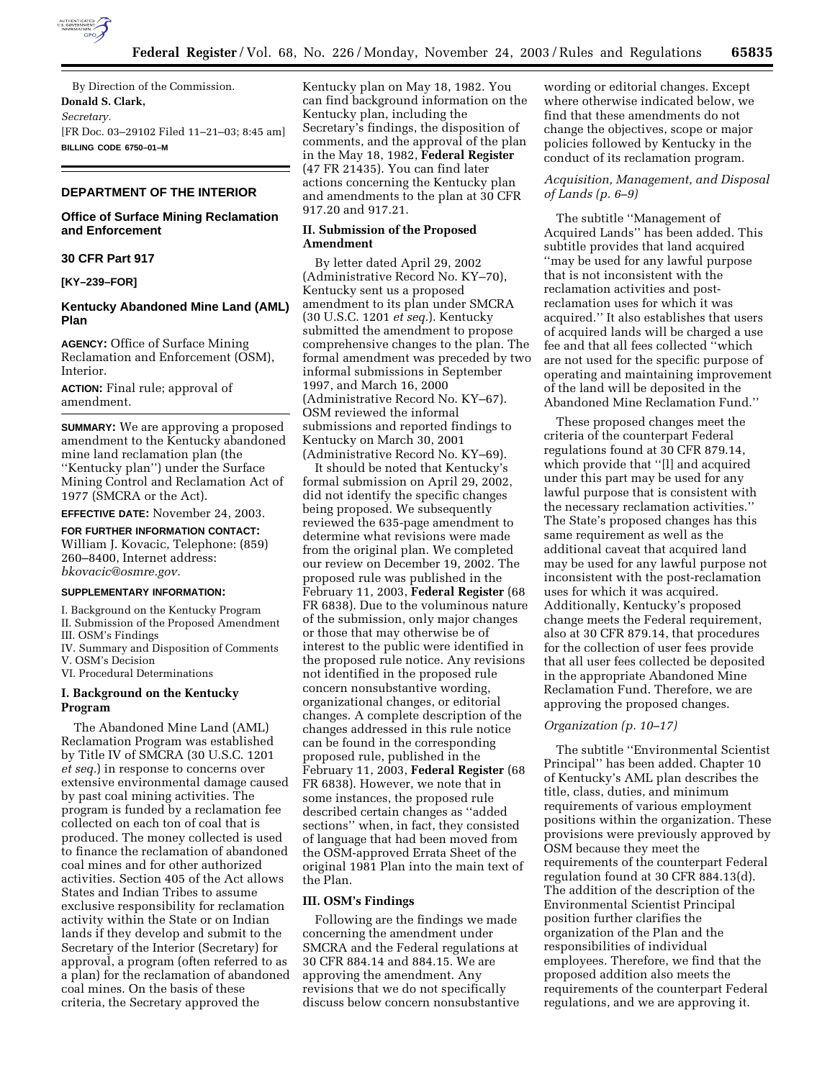

By Direction of the Commission. **Donald S. Clark,**  *Secretary.* [FR Doc. 03–29102 Filed 11–21–03; 8:45 am] **BILLING CODE 6750–01–M**

### **DEPARTMENT OF THE INTERIOR**

### **Office of Surface Mining Reclamation and Enforcement**

#### **30 CFR Part 917**

### **[KY–239–FOR]**

#### **Kentucky Abandoned Mine Land (AML) Plan**

**AGENCY:** Office of Surface Mining Reclamation and Enforcement (OSM), Interior.

**ACTION:** Final rule; approval of amendment.

**SUMMARY:** We are approving a proposed amendment to the Kentucky abandoned mine land reclamation plan (the ''Kentucky plan'') under the Surface Mining Control and Reclamation Act of 1977 (SMCRA or the Act).

**EFFECTIVE DATE:** November 24, 2003.

## **FOR FURTHER INFORMATION CONTACT:**

William J. Kovacic, Telephone: (859) 260–8400, Internet address: *bkovacic@osmre.gov.*

#### **SUPPLEMENTARY INFORMATION:**

I. Background on the Kentucky Program

II. Submission of the Proposed Amendment

III. OSM's Findings

IV. Summary and Disposition of Comments V. OSM's Decision

VI. Procedural Determinations

#### **I. Background on the Kentucky Program**

The Abandoned Mine Land (AML) Reclamation Program was established by Title IV of SMCRA (30 U.S.C. 1201 *et seq.*) in response to concerns over extensive environmental damage caused by past coal mining activities. The program is funded by a reclamation fee collected on each ton of coal that is produced. The money collected is used to finance the reclamation of abandoned coal mines and for other authorized activities. Section 405 of the Act allows States and Indian Tribes to assume exclusive responsibility for reclamation activity within the State or on Indian lands if they develop and submit to the Secretary of the Interior (Secretary) for approval, a program (often referred to as a plan) for the reclamation of abandoned coal mines. On the basis of these criteria, the Secretary approved the

Kentucky plan on May 18, 1982. You can find background information on the Kentucky plan, including the Secretary's findings, the disposition of comments, and the approval of the plan in the May 18, 1982, **Federal Register** (47 FR 21435). You can find later actions concerning the Kentucky plan and amendments to the plan at 30 CFR 917.20 and 917.21.

#### **II. Submission of the Proposed Amendment**

By letter dated April 29, 2002 (Administrative Record No. KY–70), Kentucky sent us a proposed amendment to its plan under SMCRA (30 U.S.C. 1201 *et seq.*). Kentucky submitted the amendment to propose comprehensive changes to the plan. The formal amendment was preceded by two informal submissions in September 1997, and March 16, 2000 (Administrative Record No. KY–67). OSM reviewed the informal submissions and reported findings to Kentucky on March 30, 2001 (Administrative Record No. KY–69).

It should be noted that Kentucky's formal submission on April 29, 2002, did not identify the specific changes being proposed. We subsequently reviewed the 635-page amendment to determine what revisions were made from the original plan. We completed our review on December 19, 2002. The proposed rule was published in the February 11, 2003, **Federal Register** (68 FR 6838). Due to the voluminous nature of the submission, only major changes or those that may otherwise be of interest to the public were identified in the proposed rule notice. Any revisions not identified in the proposed rule concern nonsubstantive wording, organizational changes, or editorial changes. A complete description of the changes addressed in this rule notice can be found in the corresponding proposed rule, published in the February 11, 2003, **Federal Register** (68 FR 6838). However, we note that in some instances, the proposed rule described certain changes as ''added sections'' when, in fact, they consisted of language that had been moved from the OSM-approved Errata Sheet of the original 1981 Plan into the main text of the Plan.

#### **III. OSM's Findings**

Following are the findings we made concerning the amendment under SMCRA and the Federal regulations at 30 CFR 884.14 and 884.15. We are approving the amendment. Any revisions that we do not specifically discuss below concern nonsubstantive

wording or editorial changes. Except where otherwise indicated below, we find that these amendments do not change the objectives, scope or major policies followed by Kentucky in the conduct of its reclamation program.

## *Acquisition, Management, and Disposal of Lands (p. 6–9)*

The subtitle ''Management of Acquired Lands'' has been added. This subtitle provides that land acquired ''may be used for any lawful purpose that is not inconsistent with the reclamation activities and postreclamation uses for which it was acquired.'' It also establishes that users of acquired lands will be charged a use fee and that all fees collected ''which are not used for the specific purpose of operating and maintaining improvement of the land will be deposited in the Abandoned Mine Reclamation Fund.''

These proposed changes meet the criteria of the counterpart Federal regulations found at 30 CFR 879.14, which provide that ''[l] and acquired under this part may be used for any lawful purpose that is consistent with the necessary reclamation activities.'' The State's proposed changes has this same requirement as well as the additional caveat that acquired land may be used for any lawful purpose not inconsistent with the post-reclamation uses for which it was acquired. Additionally, Kentucky's proposed change meets the Federal requirement, also at 30 CFR 879.14, that procedures for the collection of user fees provide that all user fees collected be deposited in the appropriate Abandoned Mine Reclamation Fund. Therefore, we are approving the proposed changes.

#### *Organization (p. 10–17)*

The subtitle ''Environmental Scientist Principal'' has been added. Chapter 10 of Kentucky's AML plan describes the title, class, duties, and minimum requirements of various employment positions within the organization. These provisions were previously approved by OSM because they meet the requirements of the counterpart Federal regulation found at 30 CFR 884.13(d). The addition of the description of the Environmental Scientist Principal position further clarifies the organization of the Plan and the responsibilities of individual employees. Therefore, we find that the proposed addition also meets the requirements of the counterpart Federal regulations, and we are approving it.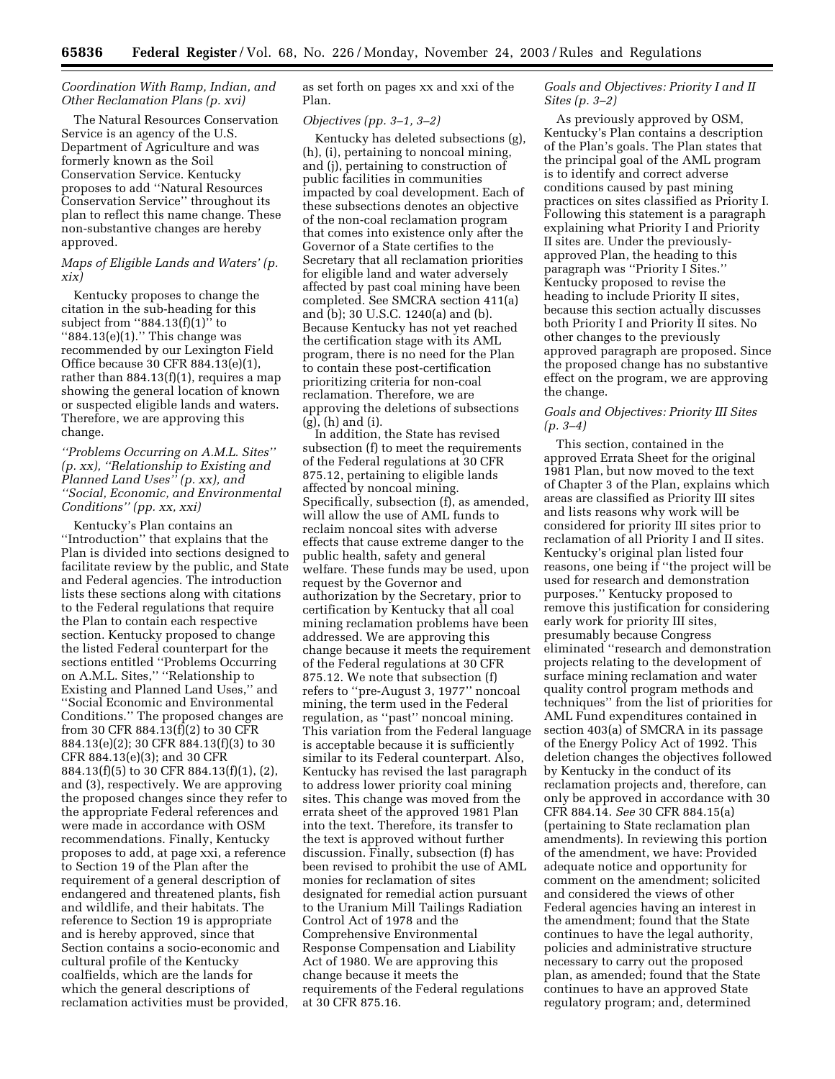### *Coordination With Ramp, Indian, and Other Reclamation Plans (p. xvi)*

The Natural Resources Conservation Service is an agency of the U.S. Department of Agriculture and was formerly known as the Soil Conservation Service. Kentucky proposes to add ''Natural Resources Conservation Service'' throughout its plan to reflect this name change. These non-substantive changes are hereby approved.

### *Maps of Eligible Lands and Waters' (p. xix)*

Kentucky proposes to change the citation in the sub-heading for this subject from ''884.13(f)(1)'' to ''884.13(e)(1).'' This change was recommended by our Lexington Field Office because 30 CFR 884.13(e)(1), rather than 884.13(f)(1), requires a map showing the general location of known or suspected eligible lands and waters. Therefore, we are approving this change.

## *''Problems Occurring on A.M.L. Sites'' (p. xx), ''Relationship to Existing and Planned Land Uses'' (p. xx), and ''Social, Economic, and Environmental Conditions'' (pp. xx, xxi)*

Kentucky's Plan contains an ''Introduction'' that explains that the Plan is divided into sections designed to facilitate review by the public, and State and Federal agencies. The introduction lists these sections along with citations to the Federal regulations that require the Plan to contain each respective section. Kentucky proposed to change the listed Federal counterpart for the sections entitled ''Problems Occurring on A.M.L. Sites,'' ''Relationship to Existing and Planned Land Uses,'' and ''Social Economic and Environmental Conditions.'' The proposed changes are from 30 CFR 884.13(f)(2) to 30 CFR 884.13(e)(2); 30 CFR 884.13(f)(3) to 30 CFR 884.13(e)(3); and 30 CFR 884.13(f)(5) to 30 CFR 884.13(f)(1), (2), and (3), respectively. We are approving the proposed changes since they refer to the appropriate Federal references and were made in accordance with OSM recommendations. Finally, Kentucky proposes to add, at page xxi, a reference to Section 19 of the Plan after the requirement of a general description of endangered and threatened plants, fish and wildlife, and their habitats. The reference to Section 19 is appropriate and is hereby approved, since that Section contains a socio-economic and cultural profile of the Kentucky coalfields, which are the lands for which the general descriptions of reclamation activities must be provided, as set forth on pages xx and xxi of the Plan.

#### *Objectives (pp. 3–1, 3–2)*

Kentucky has deleted subsections (g), (h), (i), pertaining to noncoal mining, and (j), pertaining to construction of public facilities in communities impacted by coal development. Each of these subsections denotes an objective of the non-coal reclamation program that comes into existence only after the Governor of a State certifies to the Secretary that all reclamation priorities for eligible land and water adversely affected by past coal mining have been completed. See SMCRA section 411(a) and (b); 30 U.S.C. 1240(a) and (b). Because Kentucky has not yet reached the certification stage with its AML program, there is no need for the Plan to contain these post-certification prioritizing criteria for non-coal reclamation. Therefore, we are approving the deletions of subsections (g), (h) and (i).

In addition, the State has revised subsection (f) to meet the requirements of the Federal regulations at 30 CFR 875.12, pertaining to eligible lands affected by noncoal mining. Specifically, subsection (f), as amended, will allow the use of AML funds to reclaim noncoal sites with adverse effects that cause extreme danger to the public health, safety and general welfare. These funds may be used, upon request by the Governor and authorization by the Secretary, prior to certification by Kentucky that all coal mining reclamation problems have been addressed. We are approving this change because it meets the requirement of the Federal regulations at 30 CFR 875.12. We note that subsection (f) refers to ''pre-August 3, 1977'' noncoal mining, the term used in the Federal regulation, as ''past'' noncoal mining. This variation from the Federal language is acceptable because it is sufficiently similar to its Federal counterpart. Also, Kentucky has revised the last paragraph to address lower priority coal mining sites. This change was moved from the errata sheet of the approved 1981 Plan into the text. Therefore, its transfer to the text is approved without further discussion. Finally, subsection (f) has been revised to prohibit the use of AML monies for reclamation of sites designated for remedial action pursuant to the Uranium Mill Tailings Radiation Control Act of 1978 and the Comprehensive Environmental Response Compensation and Liability Act of 1980. We are approving this change because it meets the requirements of the Federal regulations at 30 CFR 875.16.

## *Goals and Objectives: Priority I and II Sites (p. 3–2)*

As previously approved by OSM, Kentucky's Plan contains a description of the Plan's goals. The Plan states that the principal goal of the AML program is to identify and correct adverse conditions caused by past mining practices on sites classified as Priority I. Following this statement is a paragraph explaining what Priority I and Priority II sites are. Under the previouslyapproved Plan, the heading to this paragraph was ''Priority I Sites.'' Kentucky proposed to revise the heading to include Priority II sites, because this section actually discusses both Priority I and Priority II sites. No other changes to the previously approved paragraph are proposed. Since the proposed change has no substantive effect on the program, we are approving the change.

#### *Goals and Objectives: Priority III Sites (p. 3–4)*

This section, contained in the approved Errata Sheet for the original 1981 Plan, but now moved to the text of Chapter 3 of the Plan, explains which areas are classified as Priority III sites and lists reasons why work will be considered for priority III sites prior to reclamation of all Priority I and II sites. Kentucky's original plan listed four reasons, one being if ''the project will be used for research and demonstration purposes.'' Kentucky proposed to remove this justification for considering early work for priority III sites, presumably because Congress eliminated ''research and demonstration projects relating to the development of surface mining reclamation and water quality control program methods and techniques'' from the list of priorities for AML Fund expenditures contained in section 403(a) of SMCRA in its passage of the Energy Policy Act of 1992. This deletion changes the objectives followed by Kentucky in the conduct of its reclamation projects and, therefore, can only be approved in accordance with 30 CFR 884.14. *See* 30 CFR 884.15(a) (pertaining to State reclamation plan amendments). In reviewing this portion of the amendment, we have: Provided adequate notice and opportunity for comment on the amendment; solicited and considered the views of other Federal agencies having an interest in the amendment; found that the State continues to have the legal authority, policies and administrative structure necessary to carry out the proposed plan, as amended; found that the State continues to have an approved State regulatory program; and, determined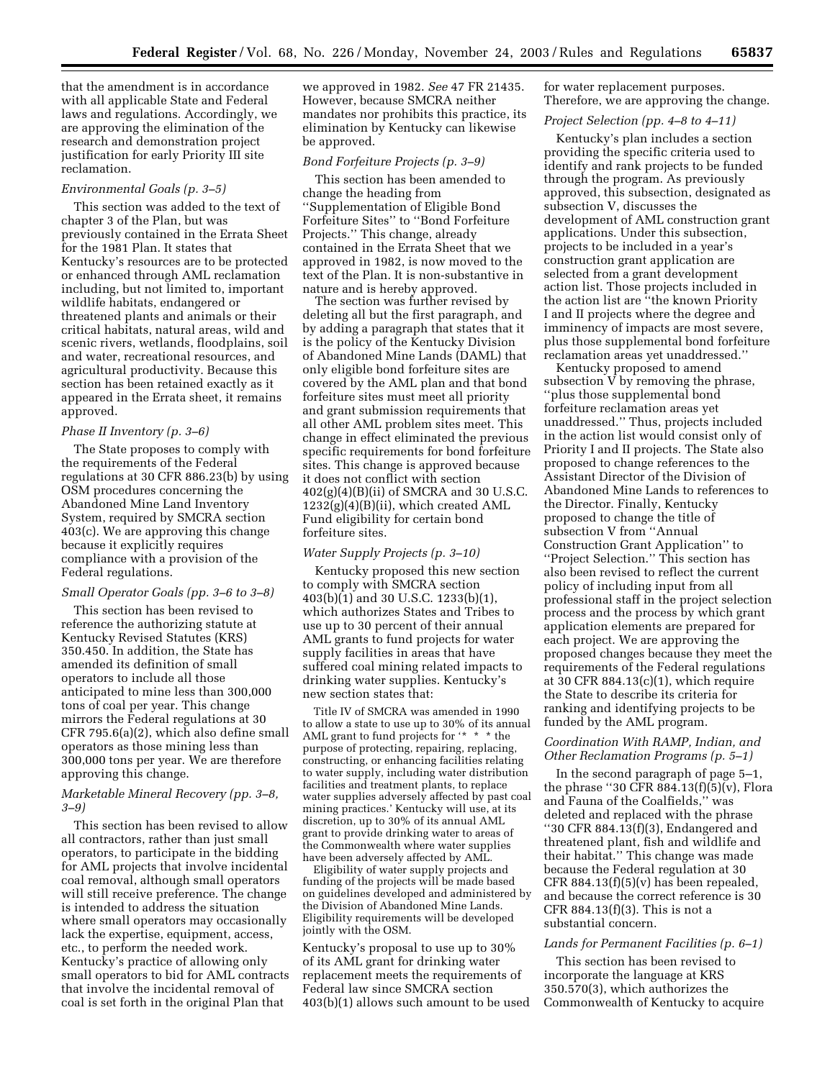that the amendment is in accordance with all applicable State and Federal laws and regulations. Accordingly, we are approving the elimination of the research and demonstration project justification for early Priority III site reclamation.

#### *Environmental Goals (p. 3–5)*

This section was added to the text of chapter 3 of the Plan, but was previously contained in the Errata Sheet for the 1981 Plan. It states that Kentucky's resources are to be protected or enhanced through AML reclamation including, but not limited to, important wildlife habitats, endangered or threatened plants and animals or their critical habitats, natural areas, wild and scenic rivers, wetlands, floodplains, soil and water, recreational resources, and agricultural productivity. Because this section has been retained exactly as it appeared in the Errata sheet, it remains approved.

#### *Phase II Inventory (p. 3–6)*

The State proposes to comply with the requirements of the Federal regulations at 30 CFR 886.23(b) by using OSM procedures concerning the Abandoned Mine Land Inventory System, required by SMCRA section 403(c). We are approving this change because it explicitly requires compliance with a provision of the Federal regulations.

#### *Small Operator Goals (pp. 3–6 to 3–8)*

This section has been revised to reference the authorizing statute at Kentucky Revised Statutes (KRS) 350.450. In addition, the State has amended its definition of small operators to include all those anticipated to mine less than 300,000 tons of coal per year. This change mirrors the Federal regulations at 30 CFR 795.6(a)(2), which also define small operators as those mining less than 300,000 tons per year. We are therefore approving this change.

### *Marketable Mineral Recovery (pp. 3–8, 3–9)*

This section has been revised to allow all contractors, rather than just small operators, to participate in the bidding for AML projects that involve incidental coal removal, although small operators will still receive preference. The change is intended to address the situation where small operators may occasionally lack the expertise, equipment, access, etc., to perform the needed work. Kentucky's practice of allowing only small operators to bid for AML contracts that involve the incidental removal of coal is set forth in the original Plan that

we approved in 1982. *See* 47 FR 21435. However, because SMCRA neither mandates nor prohibits this practice, its elimination by Kentucky can likewise be approved.

### *Bond Forfeiture Projects (p. 3–9)*

This section has been amended to change the heading from ''Supplementation of Eligible Bond Forfeiture Sites'' to ''Bond Forfeiture Projects.'' This change, already contained in the Errata Sheet that we approved in 1982, is now moved to the text of the Plan. It is non-substantive in nature and is hereby approved.

The section was further revised by deleting all but the first paragraph, and by adding a paragraph that states that it is the policy of the Kentucky Division of Abandoned Mine Lands (DAML) that only eligible bond forfeiture sites are covered by the AML plan and that bond forfeiture sites must meet all priority and grant submission requirements that all other AML problem sites meet. This change in effect eliminated the previous specific requirements for bond forfeiture sites. This change is approved because it does not conflict with section 402(g)(4)(B)(ii) of SMCRA and 30 U.S.C.  $1232(g)(4)(B)(ii)$ , which created AML Fund eligibility for certain bond forfeiture sites.

### *Water Supply Projects (p. 3–10)*

Kentucky proposed this new section to comply with SMCRA section 403(b)(1) and 30 U.S.C. 1233(b)(1), which authorizes States and Tribes to use up to 30 percent of their annual AML grants to fund projects for water supply facilities in areas that have suffered coal mining related impacts to drinking water supplies. Kentucky's new section states that:

Title IV of SMCRA was amended in 1990 to allow a state to use up to 30% of its annual AML grant to fund projects for '\* \* \* the purpose of protecting, repairing, replacing, constructing, or enhancing facilities relating to water supply, including water distribution facilities and treatment plants, to replace water supplies adversely affected by past coal mining practices.' Kentucky will use, at its discretion, up to 30% of its annual AML grant to provide drinking water to areas of the Commonwealth where water supplies have been adversely affected by AML.

Eligibility of water supply projects and funding of the projects will be made based on guidelines developed and administered by the Division of Abandoned Mine Lands. Eligibility requirements will be developed jointly with the OSM.

Kentucky's proposal to use up to 30% of its AML grant for drinking water replacement meets the requirements of Federal law since SMCRA section 403(b)(1) allows such amount to be used for water replacement purposes. Therefore, we are approving the change.

### *Project Selection (pp. 4–8 to 4–11)*

Kentucky's plan includes a section providing the specific criteria used to identify and rank projects to be funded through the program. As previously approved, this subsection, designated as subsection V, discusses the development of AML construction grant applications. Under this subsection, projects to be included in a year's construction grant application are selected from a grant development action list. Those projects included in the action list are "the known Priority I and II projects where the degree and imminency of impacts are most severe, plus those supplemental bond forfeiture reclamation areas yet unaddressed.''

Kentucky proposed to amend subsection V by removing the phrase, ''plus those supplemental bond forfeiture reclamation areas yet unaddressed.'' Thus, projects included in the action list would consist only of Priority I and II projects. The State also proposed to change references to the Assistant Director of the Division of Abandoned Mine Lands to references to the Director. Finally, Kentucky proposed to change the title of subsection V from ''Annual Construction Grant Application'' to ''Project Selection.'' This section has also been revised to reflect the current policy of including input from all professional staff in the project selection process and the process by which grant application elements are prepared for each project. We are approving the proposed changes because they meet the requirements of the Federal regulations at 30 CFR 884.13(c)(1), which require the State to describe its criteria for ranking and identifying projects to be funded by the AML program.

# *Coordination With RAMP, Indian, and Other Reclamation Programs (p. 5–1)*

In the second paragraph of page 5–1, the phrase "30 CFR  $884.13(f)(5)(v)$ , Flora and Fauna of the Coalfields,'' was deleted and replaced with the phrase ''30 CFR 884.13(f)(3), Endangered and threatened plant, fish and wildlife and their habitat.'' This change was made because the Federal regulation at 30 CFR 884.13 $(f)(5)(v)$  has been repealed, and because the correct reference is 30 CFR 884.13(f)(3). This is not a substantial concern.

#### *Lands for Permanent Facilities (p. 6–1)*

This section has been revised to incorporate the language at KRS 350.570(3), which authorizes the Commonwealth of Kentucky to acquire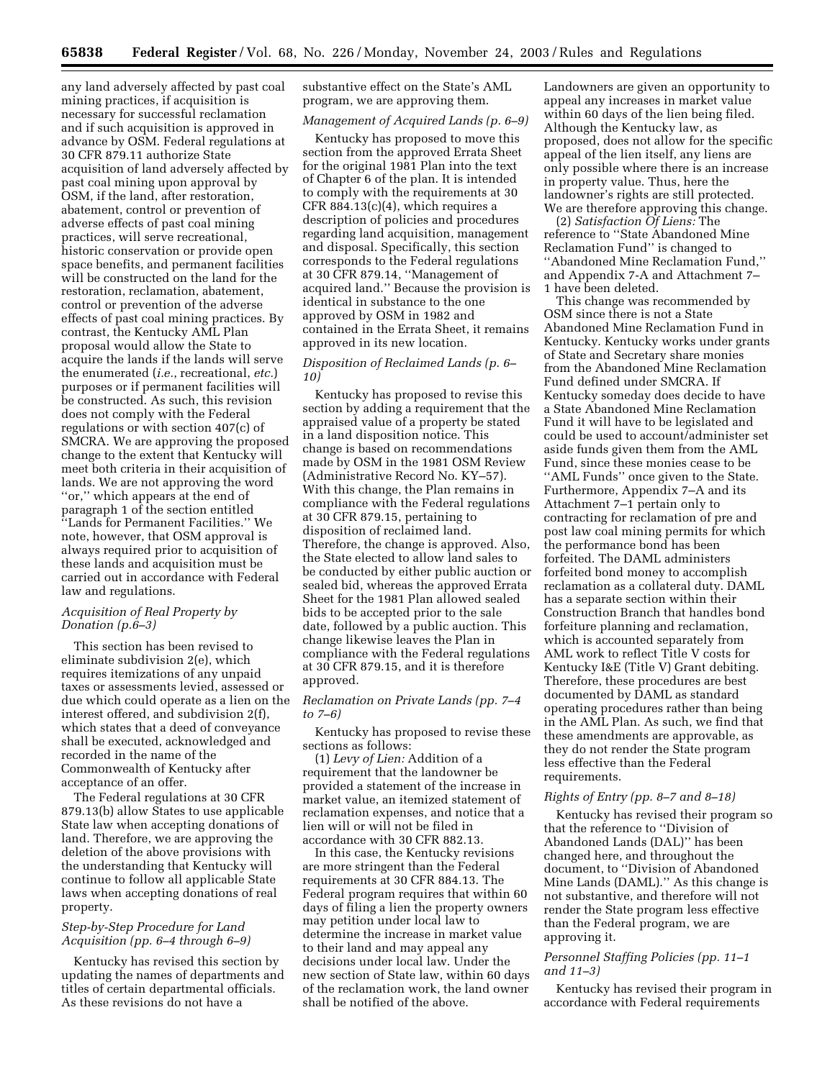any land adversely affected by past coal mining practices, if acquisition is necessary for successful reclamation and if such acquisition is approved in advance by OSM. Federal regulations at 30 CFR 879.11 authorize State acquisition of land adversely affected by past coal mining upon approval by OSM, if the land, after restoration, abatement, control or prevention of adverse effects of past coal mining practices, will serve recreational, historic conservation or provide open space benefits, and permanent facilities will be constructed on the land for the restoration, reclamation, abatement, control or prevention of the adverse effects of past coal mining practices. By contrast, the Kentucky AML Plan proposal would allow the State to acquire the lands if the lands will serve the enumerated (*i.e.*, recreational, *etc.*) purposes or if permanent facilities will be constructed. As such, this revision does not comply with the Federal regulations or with section 407(c) of SMCRA. We are approving the proposed change to the extent that Kentucky will meet both criteria in their acquisition of lands. We are not approving the word ''or,'' which appears at the end of paragraph 1 of the section entitled ''Lands for Permanent Facilities.'' We note, however, that OSM approval is always required prior to acquisition of these lands and acquisition must be carried out in accordance with Federal law and regulations.

### *Acquisition of Real Property by Donation (p.6–3)*

This section has been revised to eliminate subdivision 2(e), which requires itemizations of any unpaid taxes or assessments levied, assessed or due which could operate as a lien on the interest offered, and subdivision 2(f), which states that a deed of conveyance shall be executed, acknowledged and recorded in the name of the Commonwealth of Kentucky after acceptance of an offer.

The Federal regulations at 30 CFR 879.13(b) allow States to use applicable State law when accepting donations of land. Therefore, we are approving the deletion of the above provisions with the understanding that Kentucky will continue to follow all applicable State laws when accepting donations of real property.

## *Step-by-Step Procedure for Land Acquisition (pp. 6–4 through 6–9)*

Kentucky has revised this section by updating the names of departments and titles of certain departmental officials. As these revisions do not have a

substantive effect on the State's AML program, we are approving them.

# *Management of Acquired Lands (p. 6–9)*

Kentucky has proposed to move this section from the approved Errata Sheet for the original 1981 Plan into the text of Chapter 6 of the plan. It is intended to comply with the requirements at 30 CFR 884.13(c)(4), which requires a description of policies and procedures regarding land acquisition, management and disposal. Specifically, this section corresponds to the Federal regulations at 30 CFR 879.14, ''Management of acquired land.'' Because the provision is identical in substance to the one approved by OSM in 1982 and contained in the Errata Sheet, it remains approved in its new location.

### *Disposition of Reclaimed Lands (p. 6– 10)*

Kentucky has proposed to revise this section by adding a requirement that the appraised value of a property be stated in a land disposition notice. This change is based on recommendations made by OSM in the 1981 OSM Review (Administrative Record No. KY–57). With this change, the Plan remains in compliance with the Federal regulations at 30 CFR 879.15, pertaining to disposition of reclaimed land. Therefore, the change is approved. Also, the State elected to allow land sales to be conducted by either public auction or sealed bid, whereas the approved Errata Sheet for the 1981 Plan allowed sealed bids to be accepted prior to the sale date, followed by a public auction. This change likewise leaves the Plan in compliance with the Federal regulations at 30 CFR 879.15, and it is therefore approved.

#### *Reclamation on Private Lands (pp. 7–4 to 7–6)*

Kentucky has proposed to revise these sections as follows:

(1) *Levy of Lien:* Addition of a requirement that the landowner be provided a statement of the increase in market value, an itemized statement of reclamation expenses, and notice that a lien will or will not be filed in accordance with 30 CFR 882.13.

In this case, the Kentucky revisions are more stringent than the Federal requirements at 30 CFR 884.13. The Federal program requires that within 60 days of filing a lien the property owners may petition under local law to determine the increase in market value to their land and may appeal any decisions under local law. Under the new section of State law, within 60 days of the reclamation work, the land owner shall be notified of the above.

Landowners are given an opportunity to appeal any increases in market value within 60 days of the lien being filed. Although the Kentucky law, as proposed, does not allow for the specific appeal of the lien itself, any liens are only possible where there is an increase in property value. Thus, here the landowner's rights are still protected. We are therefore approving this change.

(2) *Satisfaction Of Liens:* The reference to ''State Abandoned Mine Reclamation Fund'' is changed to ''Abandoned Mine Reclamation Fund,'' and Appendix 7-A and Attachment 7– 1 have been deleted.

This change was recommended by OSM since there is not a State Abandoned Mine Reclamation Fund in Kentucky. Kentucky works under grants of State and Secretary share monies from the Abandoned Mine Reclamation Fund defined under SMCRA. If Kentucky someday does decide to have a State Abandoned Mine Reclamation Fund it will have to be legislated and could be used to account/administer set aside funds given them from the AML Fund, since these monies cease to be ''AML Funds'' once given to the State. Furthermore, Appendix 7–A and its Attachment 7–1 pertain only to contracting for reclamation of pre and post law coal mining permits for which the performance bond has been forfeited. The DAML administers forfeited bond money to accomplish reclamation as a collateral duty. DAML has a separate section within their Construction Branch that handles bond forfeiture planning and reclamation, which is accounted separately from AML work to reflect Title V costs for Kentucky I&E (Title V) Grant debiting. Therefore, these procedures are best documented by DAML as standard operating procedures rather than being in the AML Plan. As such, we find that these amendments are approvable, as they do not render the State program less effective than the Federal requirements.

#### *Rights of Entry (pp. 8–7 and 8–18)*

Kentucky has revised their program so that the reference to ''Division of Abandoned Lands (DAL)'' has been changed here, and throughout the document, to ''Division of Abandoned Mine Lands (DAML).'' As this change is not substantive, and therefore will not render the State program less effective than the Federal program, we are approving it.

#### *Personnel Staffing Policies (pp. 11–1 and 11–3)*

Kentucky has revised their program in accordance with Federal requirements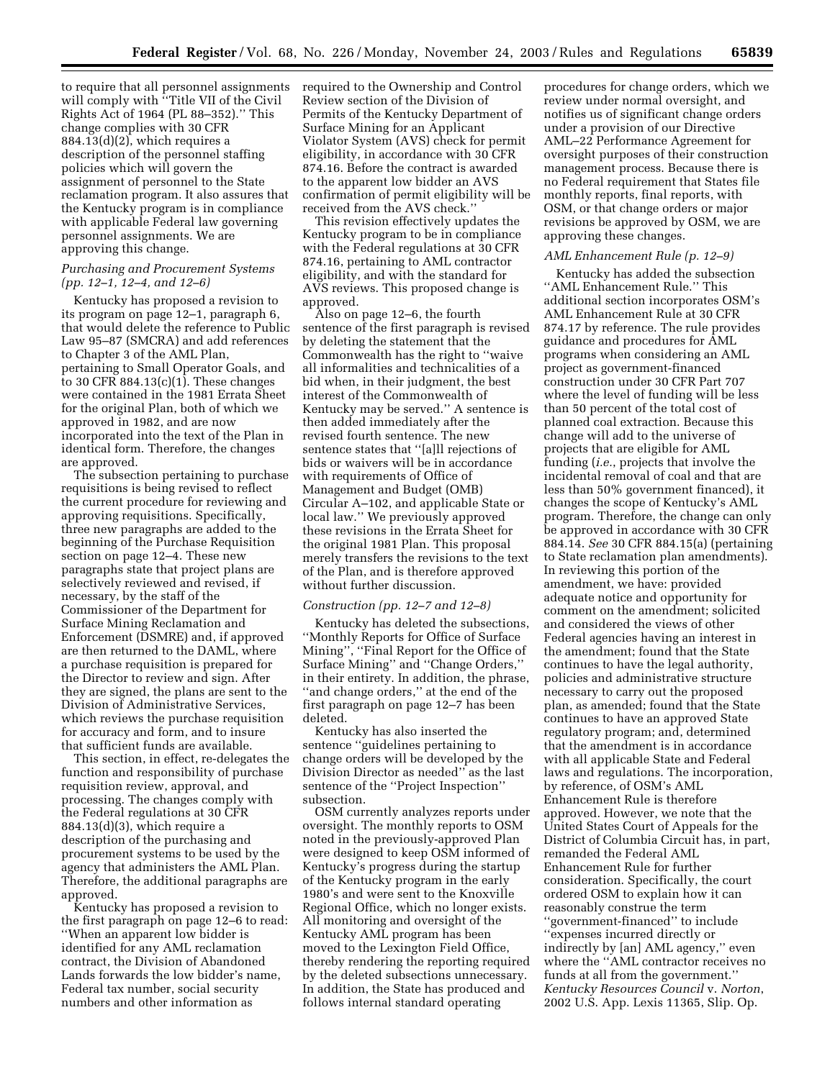to require that all personnel assignments will comply with ''Title VII of the Civil Rights Act of 1964 (PL 88–352).'' This change complies with 30 CFR  $884.13(d)(2)$ , which requires a description of the personnel staffing policies which will govern the assignment of personnel to the State reclamation program. It also assures that the Kentucky program is in compliance with applicable Federal law governing personnel assignments. We are approving this change.

# *Purchasing and Procurement Systems (pp. 12–1, 12–4, and 12–6)*

Kentucky has proposed a revision to its program on page 12–1, paragraph 6, that would delete the reference to Public Law 95–87 (SMCRA) and add references to Chapter 3 of the AML Plan, pertaining to Small Operator Goals, and to 30 CFR  $884.13(c)(1)$ . These changes were contained in the 1981 Errata Sheet for the original Plan, both of which we approved in 1982, and are now incorporated into the text of the Plan in identical form. Therefore, the changes are approved.

The subsection pertaining to purchase requisitions is being revised to reflect the current procedure for reviewing and approving requisitions. Specifically, three new paragraphs are added to the beginning of the Purchase Requisition section on page 12–4. These new paragraphs state that project plans are selectively reviewed and revised, if necessary, by the staff of the Commissioner of the Department for Surface Mining Reclamation and Enforcement (DSMRE) and, if approved are then returned to the DAML, where a purchase requisition is prepared for the Director to review and sign. After they are signed, the plans are sent to the Division of Administrative Services, which reviews the purchase requisition for accuracy and form, and to insure that sufficient funds are available.

This section, in effect, re-delegates the function and responsibility of purchase requisition review, approval, and processing. The changes comply with the Federal regulations at 30 CFR 884.13(d)(3), which require a description of the purchasing and procurement systems to be used by the agency that administers the AML Plan. Therefore, the additional paragraphs are approved.

Kentucky has proposed a revision to the first paragraph on page 12–6 to read: ''When an apparent low bidder is identified for any AML reclamation contract, the Division of Abandoned Lands forwards the low bidder's name, Federal tax number, social security numbers and other information as

required to the Ownership and Control Review section of the Division of Permits of the Kentucky Department of Surface Mining for an Applicant Violator System (AVS) check for permit eligibility, in accordance with 30 CFR 874.16. Before the contract is awarded to the apparent low bidder an AVS confirmation of permit eligibility will be received from the AVS check.''

This revision effectively updates the Kentucky program to be in compliance with the Federal regulations at 30 CFR 874.16, pertaining to AML contractor eligibility, and with the standard for AVS reviews. This proposed change is approved.

Also on page 12–6, the fourth sentence of the first paragraph is revised by deleting the statement that the Commonwealth has the right to ''waive all informalities and technicalities of a bid when, in their judgment, the best interest of the Commonwealth of Kentucky may be served.'' A sentence is then added immediately after the revised fourth sentence. The new sentence states that ''[a]ll rejections of bids or waivers will be in accordance with requirements of Office of Management and Budget (OMB) Circular A–102, and applicable State or local law.'' We previously approved these revisions in the Errata Sheet for the original 1981 Plan. This proposal merely transfers the revisions to the text of the Plan, and is therefore approved without further discussion.

#### *Construction (pp. 12–7 and 12–8)*

Kentucky has deleted the subsections, ''Monthly Reports for Office of Surface Mining'', ''Final Report for the Office of Surface Mining'' and ''Change Orders,'' in their entirety. In addition, the phrase, ''and change orders,'' at the end of the first paragraph on page 12–7 has been deleted.

Kentucky has also inserted the sentence ''guidelines pertaining to change orders will be developed by the Division Director as needed'' as the last sentence of the ''Project Inspection'' subsection.

OSM currently analyzes reports under oversight. The monthly reports to OSM noted in the previously-approved Plan were designed to keep OSM informed of Kentucky's progress during the startup of the Kentucky program in the early 1980's and were sent to the Knoxville Regional Office, which no longer exists. All monitoring and oversight of the Kentucky AML program has been moved to the Lexington Field Office, thereby rendering the reporting required by the deleted subsections unnecessary. In addition, the State has produced and follows internal standard operating

procedures for change orders, which we review under normal oversight, and notifies us of significant change orders under a provision of our Directive AML–22 Performance Agreement for oversight purposes of their construction management process. Because there is no Federal requirement that States file monthly reports, final reports, with OSM, or that change orders or major revisions be approved by OSM, we are approving these changes.

#### *AML Enhancement Rule (p. 12–9)*

Kentucky has added the subsection ''AML Enhancement Rule.'' This additional section incorporates OSM's AML Enhancement Rule at 30 CFR 874.17 by reference. The rule provides guidance and procedures for AML programs when considering an AML project as government-financed construction under 30 CFR Part 707 where the level of funding will be less than 50 percent of the total cost of planned coal extraction. Because this change will add to the universe of projects that are eligible for AML funding (*i.e.*, projects that involve the incidental removal of coal and that are less than 50% government financed), it changes the scope of Kentucky's AML program. Therefore, the change can only be approved in accordance with 30 CFR 884.14. *See* 30 CFR 884.15(a) (pertaining to State reclamation plan amendments). In reviewing this portion of the amendment, we have: provided adequate notice and opportunity for comment on the amendment; solicited and considered the views of other Federal agencies having an interest in the amendment; found that the State continues to have the legal authority, policies and administrative structure necessary to carry out the proposed plan, as amended; found that the State continues to have an approved State regulatory program; and, determined that the amendment is in accordance with all applicable State and Federal laws and regulations. The incorporation, by reference, of OSM's AML Enhancement Rule is therefore approved. However, we note that the United States Court of Appeals for the District of Columbia Circuit has, in part, remanded the Federal AML Enhancement Rule for further consideration. Specifically, the court ordered OSM to explain how it can reasonably construe the term ''government-financed'' to include ''expenses incurred directly or indirectly by [an] AML agency,'' even where the ''AML contractor receives no funds at all from the government.'' *Kentucky Resources Council* v. *Norton*, 2002 U.S. App. Lexis 11365, Slip. Op.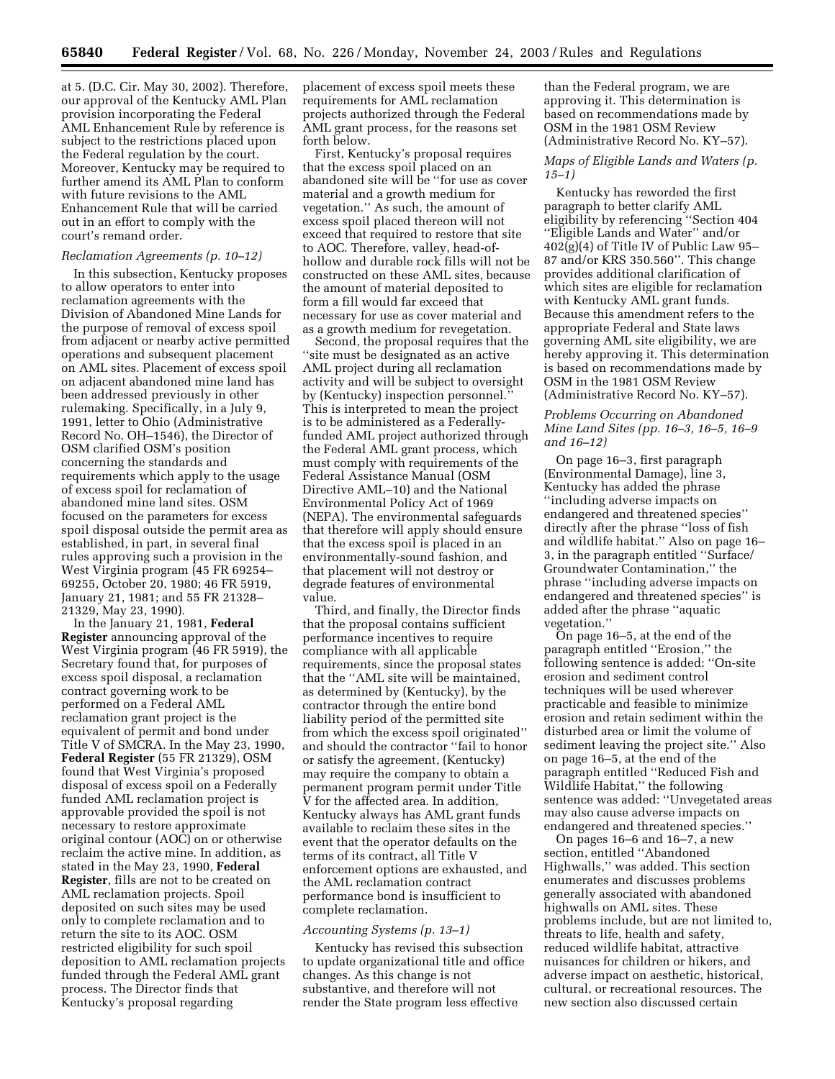at 5. (D.C. Cir. May 30, 2002). Therefore, our approval of the Kentucky AML Plan provision incorporating the Federal AML Enhancement Rule by reference is subject to the restrictions placed upon the Federal regulation by the court. Moreover, Kentucky may be required to further amend its AML Plan to conform with future revisions to the AML Enhancement Rule that will be carried out in an effort to comply with the court's remand order.

### *Reclamation Agreements (p. 10–12)*

In this subsection, Kentucky proposes to allow operators to enter into reclamation agreements with the Division of Abandoned Mine Lands for the purpose of removal of excess spoil from adjacent or nearby active permitted operations and subsequent placement on AML sites. Placement of excess spoil on adjacent abandoned mine land has been addressed previously in other rulemaking. Specifically, in a July 9, 1991, letter to Ohio (Administrative Record No. OH–1546), the Director of OSM clarified OSM's position concerning the standards and requirements which apply to the usage of excess spoil for reclamation of abandoned mine land sites. OSM focused on the parameters for excess spoil disposal outside the permit area as established, in part, in several final rules approving such a provision in the West Virginia program (45 FR 69254– 69255, October 20, 1980; 46 FR 5919, January 21, 1981; and 55 FR 21328– 21329, May 23, 1990).

In the January 21, 1981, **Federal Register** announcing approval of the West Virginia program (46 FR 5919), the Secretary found that, for purposes of excess spoil disposal, a reclamation contract governing work to be performed on a Federal AML reclamation grant project is the equivalent of permit and bond under Title V of SMCRA. In the May 23, 1990, **Federal Register** (55 FR 21329), OSM found that West Virginia's proposed disposal of excess spoil on a Federally funded AML reclamation project is approvable provided the spoil is not necessary to restore approximate original contour (AOC) on or otherwise reclaim the active mine. In addition, as stated in the May 23, 1990, **Federal Register**, fills are not to be created on AML reclamation projects. Spoil deposited on such sites may be used only to complete reclamation and to return the site to its AOC. OSM restricted eligibility for such spoil deposition to AML reclamation projects funded through the Federal AML grant process. The Director finds that Kentucky's proposal regarding

placement of excess spoil meets these requirements for AML reclamation projects authorized through the Federal AML grant process, for the reasons set forth below.

First, Kentucky's proposal requires that the excess spoil placed on an abandoned site will be ''for use as cover material and a growth medium for vegetation.'' As such, the amount of excess spoil placed thereon will not exceed that required to restore that site to AOC. Therefore, valley, head-ofhollow and durable rock fills will not be constructed on these AML sites, because the amount of material deposited to form a fill would far exceed that necessary for use as cover material and as a growth medium for revegetation.

Second, the proposal requires that the ''site must be designated as an active AML project during all reclamation activity and will be subject to oversight by (Kentucky) inspection personnel.'' This is interpreted to mean the project is to be administered as a Federallyfunded AML project authorized through the Federal AML grant process, which must comply with requirements of the Federal Assistance Manual (OSM Directive AML–10) and the National Environmental Policy Act of 1969 (NEPA). The environmental safeguards that therefore will apply should ensure that the excess spoil is placed in an environmentally-sound fashion, and that placement will not destroy or degrade features of environmental value.

Third, and finally, the Director finds that the proposal contains sufficient performance incentives to require compliance with all applicable requirements, since the proposal states that the ''AML site will be maintained, as determined by (Kentucky), by the contractor through the entire bond liability period of the permitted site from which the excess spoil originated'' and should the contractor ''fail to honor or satisfy the agreement, (Kentucky) may require the company to obtain a permanent program permit under Title V for the affected area. In addition, Kentucky always has AML grant funds available to reclaim these sites in the event that the operator defaults on the terms of its contract, all Title V enforcement options are exhausted, and the AML reclamation contract performance bond is insufficient to complete reclamation.

#### *Accounting Systems (p. 13–1)*

Kentucky has revised this subsection to update organizational title and office changes. As this change is not substantive, and therefore will not render the State program less effective

than the Federal program, we are approving it. This determination is based on recommendations made by OSM in the 1981 OSM Review (Administrative Record No. KY–57).

#### *Maps of Eligible Lands and Waters (p. 15–1)*

Kentucky has reworded the first paragraph to better clarify AML eligibility by referencing ''Section 404 ''Eligible Lands and Water'' and/or 402(g)(4) of Title IV of Public Law 95– 87 and/or KRS 350.560''. This change provides additional clarification of which sites are eligible for reclamation with Kentucky AML grant funds. Because this amendment refers to the appropriate Federal and State laws governing AML site eligibility, we are hereby approving it. This determination is based on recommendations made by OSM in the 1981 OSM Review (Administrative Record No. KY–57).

## *Problems Occurring on Abandoned Mine Land Sites (pp. 16–3, 16–5, 16–9 and 16–12)*

On page 16–3, first paragraph (Environmental Damage), line 3, Kentucky has added the phrase ''including adverse impacts on endangered and threatened species'' directly after the phrase ''loss of fish and wildlife habitat.'' Also on page 16– 3, in the paragraph entitled ''Surface/ Groundwater Contamination,'' the phrase ''including adverse impacts on endangered and threatened species'' is added after the phrase ''aquatic vegetation.''

On page 16–5, at the end of the paragraph entitled ''Erosion,'' the following sentence is added: ''On-site erosion and sediment control techniques will be used wherever practicable and feasible to minimize erosion and retain sediment within the disturbed area or limit the volume of sediment leaving the project site.'' Also on page 16–5, at the end of the paragraph entitled ''Reduced Fish and Wildlife Habitat,'' the following sentence was added: ''Unvegetated areas may also cause adverse impacts on endangered and threatened species.''

On pages 16–6 and 16–7, a new section, entitled ''Abandoned Highwalls,'' was added. This section enumerates and discusses problems generally associated with abandoned highwalls on AML sites. These problems include, but are not limited to, threats to life, health and safety, reduced wildlife habitat, attractive nuisances for children or hikers, and adverse impact on aesthetic, historical, cultural, or recreational resources. The new section also discussed certain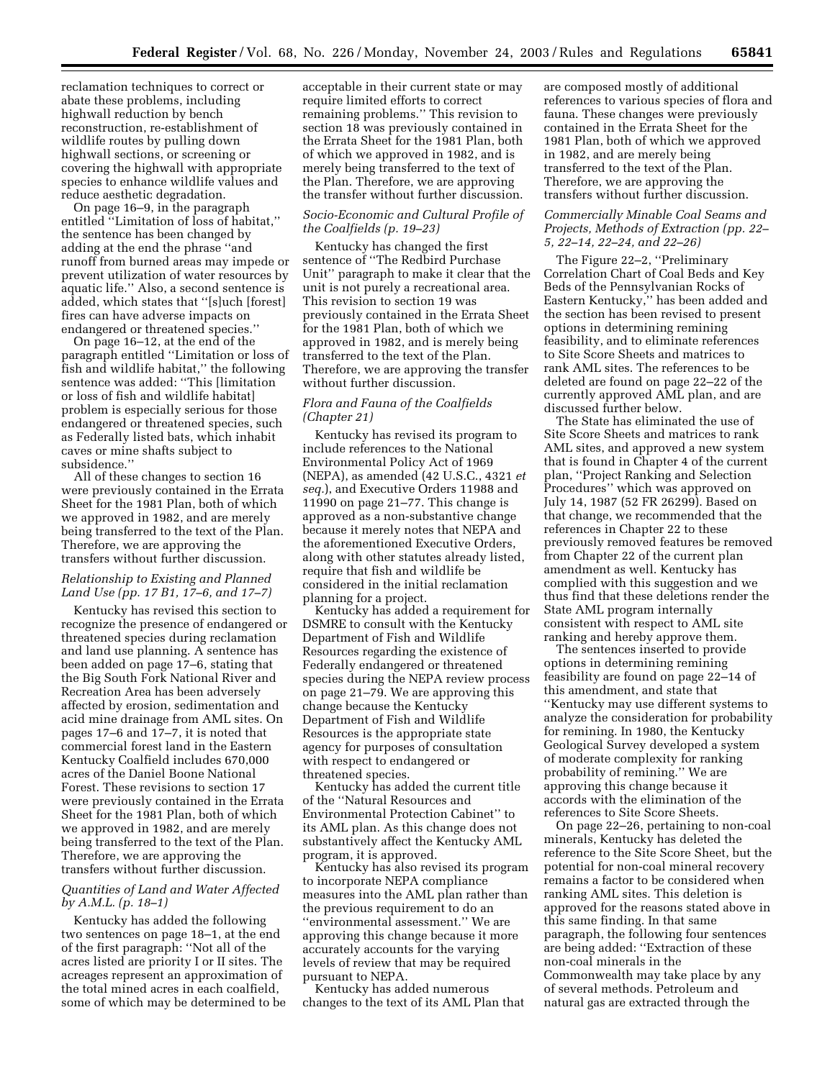reclamation techniques to correct or abate these problems, including highwall reduction by bench reconstruction, re-establishment of wildlife routes by pulling down highwall sections, or screening or covering the highwall with appropriate species to enhance wildlife values and reduce aesthetic degradation.

On page 16–9, in the paragraph entitled ''Limitation of loss of habitat,'' the sentence has been changed by adding at the end the phrase ''and runoff from burned areas may impede or prevent utilization of water resources by aquatic life.'' Also, a second sentence is added, which states that ''[s]uch [forest] fires can have adverse impacts on endangered or threatened species.''

On page 16–12, at the end of the paragraph entitled ''Limitation or loss of fish and wildlife habitat,'' the following sentence was added: ''This [limitation or loss of fish and wildlife habitat] problem is especially serious for those endangered or threatened species, such as Federally listed bats, which inhabit caves or mine shafts subject to subsidence.''

All of these changes to section 16 were previously contained in the Errata Sheet for the 1981 Plan, both of which we approved in 1982, and are merely being transferred to the text of the Plan. Therefore, we are approving the transfers without further discussion.

## *Relationship to Existing and Planned Land Use (pp. 17 B1, 17–6, and 17–7)*

Kentucky has revised this section to recognize the presence of endangered or threatened species during reclamation and land use planning. A sentence has been added on page 17–6, stating that the Big South Fork National River and Recreation Area has been adversely affected by erosion, sedimentation and acid mine drainage from AML sites. On pages 17–6 and 17–7, it is noted that commercial forest land in the Eastern Kentucky Coalfield includes 670,000 acres of the Daniel Boone National Forest. These revisions to section 17 were previously contained in the Errata Sheet for the 1981 Plan, both of which we approved in 1982, and are merely being transferred to the text of the Plan. Therefore, we are approving the transfers without further discussion.

## *Quantities of Land and Water Affected by A.M.L. (p. 18–1)*

Kentucky has added the following two sentences on page 18–1, at the end of the first paragraph: ''Not all of the acres listed are priority I or II sites. The acreages represent an approximation of the total mined acres in each coalfield, some of which may be determined to be acceptable in their current state or may require limited efforts to correct remaining problems.'' This revision to section 18 was previously contained in the Errata Sheet for the 1981 Plan, both of which we approved in 1982, and is merely being transferred to the text of the Plan. Therefore, we are approving the transfer without further discussion.

## *Socio-Economic and Cultural Profile of the Coalfields (p. 19–23)*

Kentucky has changed the first sentence of ''The Redbird Purchase Unit'' paragraph to make it clear that the unit is not purely a recreational area. This revision to section 19 was previously contained in the Errata Sheet for the 1981 Plan, both of which we approved in 1982, and is merely being transferred to the text of the Plan. Therefore, we are approving the transfer without further discussion.

### *Flora and Fauna of the Coalfields (Chapter 21)*

Kentucky has revised its program to include references to the National Environmental Policy Act of 1969 (NEPA), as amended (42 U.S.C., 4321 *et seq.*), and Executive Orders 11988 and 11990 on page 21–77. This change is approved as a non-substantive change because it merely notes that NEPA and the aforementioned Executive Orders, along with other statutes already listed, require that fish and wildlife be considered in the initial reclamation planning for a project.

Kentucky has added a requirement for DSMRE to consult with the Kentucky Department of Fish and Wildlife Resources regarding the existence of Federally endangered or threatened species during the NEPA review process on page 21–79. We are approving this change because the Kentucky Department of Fish and Wildlife Resources is the appropriate state agency for purposes of consultation with respect to endangered or threatened species.

Kentucky has added the current title of the ''Natural Resources and Environmental Protection Cabinet'' to its AML plan. As this change does not substantively affect the Kentucky AML program, it is approved.

Kentucky has also revised its program to incorporate NEPA compliance measures into the AML plan rather than the previous requirement to do an ''environmental assessment.'' We are approving this change because it more accurately accounts for the varying levels of review that may be required pursuant to NEPA.

Kentucky has added numerous changes to the text of its AML Plan that are composed mostly of additional references to various species of flora and fauna. These changes were previously contained in the Errata Sheet for the 1981 Plan, both of which we approved in 1982, and are merely being transferred to the text of the Plan. Therefore, we are approving the transfers without further discussion.

### *Commercially Minable Coal Seams and Projects, Methods of Extraction (pp. 22– 5, 22–14, 22–24, and 22–26)*

The Figure 22–2, ''Preliminary Correlation Chart of Coal Beds and Key Beds of the Pennsylvanian Rocks of Eastern Kentucky,'' has been added and the section has been revised to present options in determining remining feasibility, and to eliminate references to Site Score Sheets and matrices to rank AML sites. The references to be deleted are found on page 22–22 of the currently approved AML plan, and are discussed further below.

The State has eliminated the use of Site Score Sheets and matrices to rank AML sites, and approved a new system that is found in Chapter 4 of the current plan, ''Project Ranking and Selection Procedures'' which was approved on July 14, 1987 (52 FR 26299). Based on that change, we recommended that the references in Chapter 22 to these previously removed features be removed from Chapter 22 of the current plan amendment as well. Kentucky has complied with this suggestion and we thus find that these deletions render the State AML program internally consistent with respect to AML site ranking and hereby approve them.

The sentences inserted to provide options in determining remining feasibility are found on page 22–14 of this amendment, and state that ''Kentucky may use different systems to analyze the consideration for probability for remining. In 1980, the Kentucky Geological Survey developed a system of moderate complexity for ranking probability of remining.'' We are approving this change because it accords with the elimination of the references to Site Score Sheets.

On page 22–26, pertaining to non-coal minerals, Kentucky has deleted the reference to the Site Score Sheet, but the potential for non-coal mineral recovery remains a factor to be considered when ranking AML sites. This deletion is approved for the reasons stated above in this same finding. In that same paragraph, the following four sentences are being added: ''Extraction of these non-coal minerals in the Commonwealth may take place by any of several methods. Petroleum and natural gas are extracted through the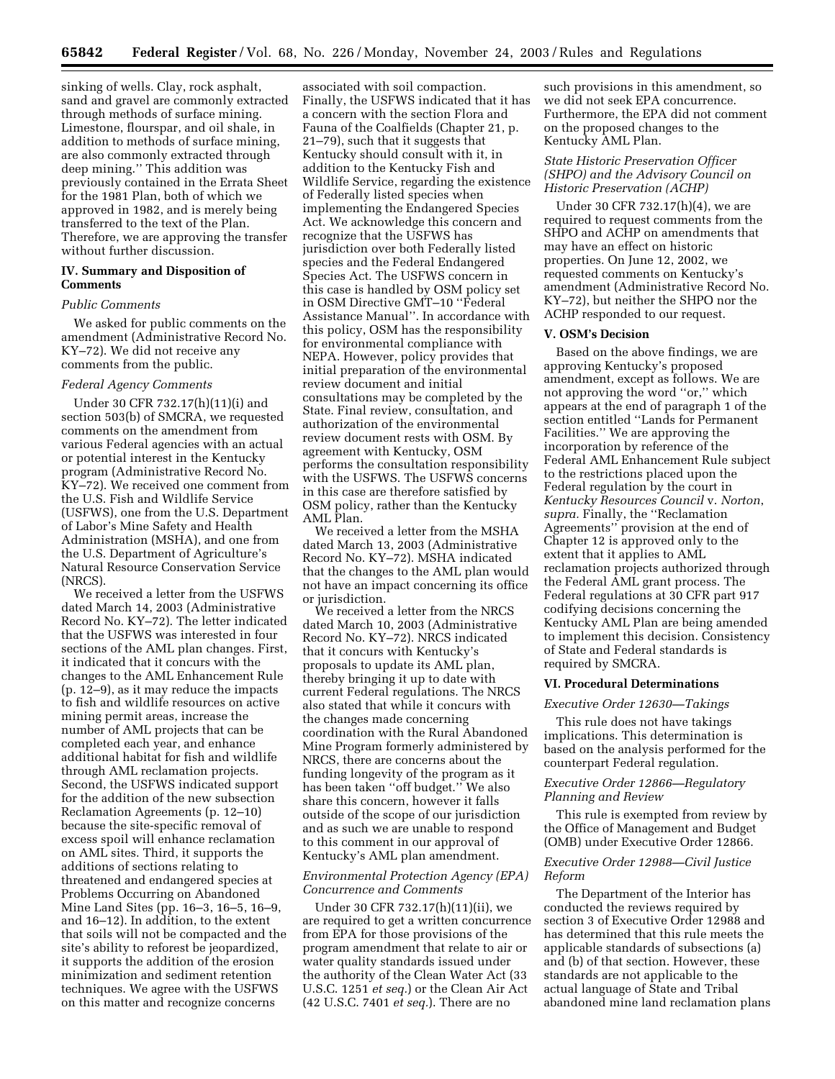sinking of wells. Clay, rock asphalt, sand and gravel are commonly extracted through methods of surface mining. Limestone, flourspar, and oil shale, in addition to methods of surface mining, are also commonly extracted through deep mining.'' This addition was previously contained in the Errata Sheet for the 1981 Plan, both of which we approved in 1982, and is merely being transferred to the text of the Plan. Therefore, we are approving the transfer without further discussion.

# **IV. Summary and Disposition of Comments**

#### *Public Comments*

We asked for public comments on the amendment (Administrative Record No. KY–72). We did not receive any comments from the public.

#### *Federal Agency Comments*

Under 30 CFR 732.17(h)(11)(i) and section 503(b) of SMCRA, we requested comments on the amendment from various Federal agencies with an actual or potential interest in the Kentucky program (Administrative Record No. KY–72). We received one comment from the U.S. Fish and Wildlife Service (USFWS), one from the U.S. Department of Labor's Mine Safety and Health Administration (MSHA), and one from the U.S. Department of Agriculture's Natural Resource Conservation Service (NRCS).

We received a letter from the USFWS dated March 14, 2003 (Administrative Record No. KY–72). The letter indicated that the USFWS was interested in four sections of the AML plan changes. First, it indicated that it concurs with the changes to the AML Enhancement Rule (p. 12–9), as it may reduce the impacts to fish and wildlife resources on active mining permit areas, increase the number of AML projects that can be completed each year, and enhance additional habitat for fish and wildlife through AML reclamation projects. Second, the USFWS indicated support for the addition of the new subsection Reclamation Agreements (p. 12–10) because the site-specific removal of excess spoil will enhance reclamation on AML sites. Third, it supports the additions of sections relating to threatened and endangered species at Problems Occurring on Abandoned Mine Land Sites (pp. 16–3, 16–5, 16–9, and 16–12). In addition, to the extent that soils will not be compacted and the site's ability to reforest be jeopardized, it supports the addition of the erosion minimization and sediment retention techniques. We agree with the USFWS on this matter and recognize concerns

associated with soil compaction. Finally, the USFWS indicated that it has a concern with the section Flora and Fauna of the Coalfields (Chapter 21, p. 21–79), such that it suggests that Kentucky should consult with it, in addition to the Kentucky Fish and Wildlife Service, regarding the existence of Federally listed species when implementing the Endangered Species Act. We acknowledge this concern and recognize that the USFWS has jurisdiction over both Federally listed species and the Federal Endangered Species Act. The USFWS concern in this case is handled by OSM policy set in OSM Directive GMT–10 ''Federal Assistance Manual''. In accordance with this policy, OSM has the responsibility for environmental compliance with NEPA. However, policy provides that initial preparation of the environmental review document and initial consultations may be completed by the State. Final review, consultation, and authorization of the environmental review document rests with OSM. By agreement with Kentucky, OSM performs the consultation responsibility with the USFWS. The USFWS concerns in this case are therefore satisfied by OSM policy, rather than the Kentucky AML Plan.

We received a letter from the MSHA dated March 13, 2003 (Administrative Record No. KY–72). MSHA indicated that the changes to the AML plan would not have an impact concerning its office or jurisdiction.

We received a letter from the NRCS dated March 10, 2003 (Administrative Record No. KY–72). NRCS indicated that it concurs with Kentucky's proposals to update its AML plan, thereby bringing it up to date with current Federal regulations. The NRCS also stated that while it concurs with the changes made concerning coordination with the Rural Abandoned Mine Program formerly administered by NRCS, there are concerns about the funding longevity of the program as it has been taken ''off budget.'' We also share this concern, however it falls outside of the scope of our jurisdiction and as such we are unable to respond to this comment in our approval of Kentucky's AML plan amendment.

### *Environmental Protection Agency (EPA) Concurrence and Comments*

Under 30 CFR 732.17(h)(11)(ii), we are required to get a written concurrence from EPA for those provisions of the program amendment that relate to air or water quality standards issued under the authority of the Clean Water Act (33 U.S.C. 1251 *et seq.*) or the Clean Air Act (42 U.S.C. 7401 *et seq.*). There are no

such provisions in this amendment, so we did not seek EPA concurrence. Furthermore, the EPA did not comment on the proposed changes to the Kentucky AML Plan.

#### *State Historic Preservation Officer (SHPO) and the Advisory Council on Historic Preservation (ACHP)*

Under 30 CFR 732.17(h)(4), we are required to request comments from the SHPO and ACHP on amendments that may have an effect on historic properties. On June 12, 2002, we requested comments on Kentucky's amendment (Administrative Record No. KY–72), but neither the SHPO nor the ACHP responded to our request.

#### **V. OSM's Decision**

Based on the above findings, we are approving Kentucky's proposed amendment, except as follows. We are not approving the word ''or,'' which appears at the end of paragraph 1 of the section entitled ''Lands for Permanent Facilities.'' We are approving the incorporation by reference of the Federal AML Enhancement Rule subject to the restrictions placed upon the Federal regulation by the court in *Kentucky Resources Council* v. *Norton*, *supra.* Finally, the ''Reclamation Agreements'' provision at the end of Chapter 12 is approved only to the extent that it applies to AML reclamation projects authorized through the Federal AML grant process. The Federal regulations at 30 CFR part 917 codifying decisions concerning the Kentucky AML Plan are being amended to implement this decision. Consistency of State and Federal standards is required by SMCRA.

#### **VI. Procedural Determinations**

#### *Executive Order 12630—Takings*

This rule does not have takings implications. This determination is based on the analysis performed for the counterpart Federal regulation.

### *Executive Order 12866—Regulatory Planning and Review*

This rule is exempted from review by the Office of Management and Budget (OMB) under Executive Order 12866.

### *Executive Order 12988—Civil Justice Reform*

The Department of the Interior has conducted the reviews required by section 3 of Executive Order 12988 and has determined that this rule meets the applicable standards of subsections (a) and (b) of that section. However, these standards are not applicable to the actual language of State and Tribal abandoned mine land reclamation plans